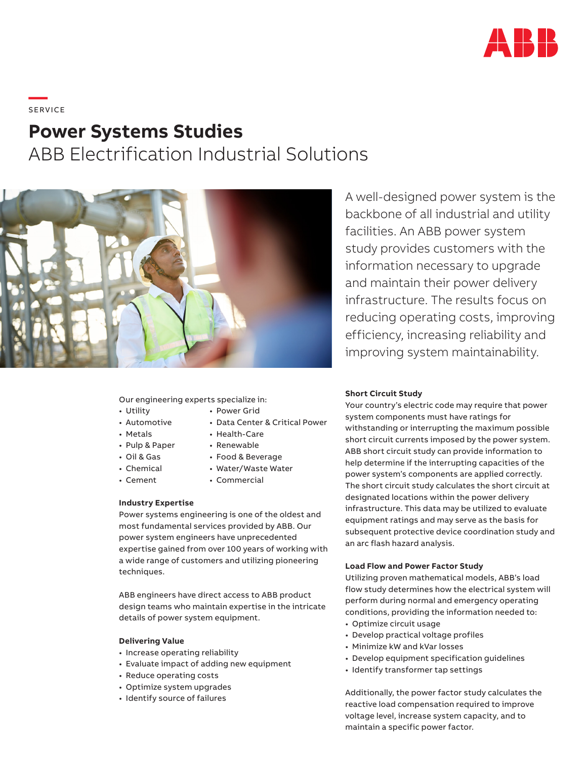

# **—**  S ERV I CE

# **Power Systems Studies**

ABB Electrification Industrial Solutions



Our engineering experts specialize in:

- Utility
- Automotive
- Metals
- Pulp & Paper
- Oil & Gas
- Chemical
- 
- Cement
- Power Grid
- Data Center & Critical Power
- Health-Care
- Renewable
- Food & Beverage
- Water/Waste Water
- Commercial

# **Industry Expertise**

Power systems engineering is one of the oldest and most fundamental services provided by ABB. Our power system engineers have unprecedented expertise gained from over 100 years of working with a wide range of customers and utilizing pioneering techniques.

ABB engineers have direct access to ABB product design teams who maintain expertise in the intricate details of power system equipment.

#### **Delivering Value**

- Increase operating reliability
- Evaluate impact of adding new equipment
- Reduce operating costs
- Optimize system upgrades
- Identify source of failures

**Short Circuit Study**

Your country's electric code may require that power system components must have ratings for withstanding or interrupting the maximum possible short circuit currents imposed by the power system. ABB short circuit study can provide information to help determine if the interrupting capacities of the power system's components are applied correctly. The short circuit study calculates the short circuit at designated locations within the power delivery infrastructure. This data may be utilized to evaluate equipment ratings and may serve as the basis for subsequent protective device coordination study and an arc flash hazard analysis.

### **Load Flow and Power Factor Study**

Utilizing proven mathematical models, ABB's load flow study determines how the electrical system will perform during normal and emergency operating conditions, providing the information needed to:

- Optimize circuit usage
- Develop practical voltage profiles
- Minimize kW and kVar losses
- Develop equipment specification guidelines
- Identify transformer tap settings

Additionally, the power factor study calculates the reactive load compensation required to improve voltage level, increase system capacity, and to maintain a specific power factor.